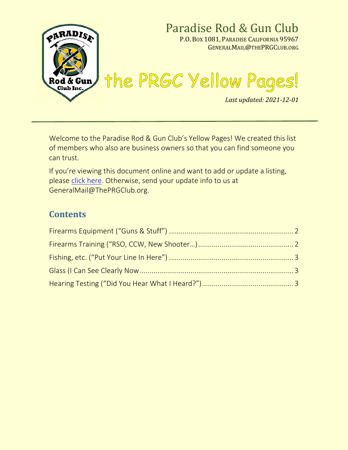

Welcome to the Paradise Rod & Gun Club's Yellow Pages! We created this list of members who also are business owners so that you can find someone you can trust.

If you're viewing this document online and want to add or update a listing, please [click here.](https://drive.google.com/open?id=1Tu4eGO18CkdvDhcdjU6VZkmVUMeIXgX-up_OM2MOu4A) Otherwise, send your update info to us at GeneralMail@ThePRGClub.org.

### **Contents**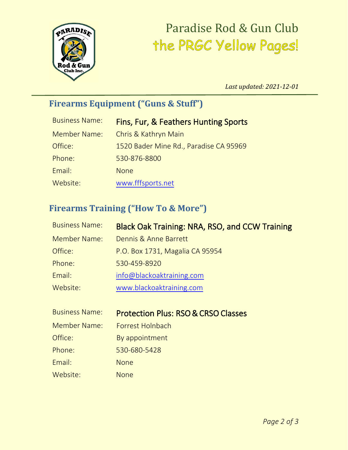

# Paradise Rod & Gun Club<br>The PRGC Yellow Pages!

*Last updated: 2021-12-01*

# <span id="page-1-0"></span>**Firearms Equipment ("Guns & Stuff")**

| <b>Business Name:</b> | <b>Fins, Fur, &amp; Feathers Hunting Sports</b> |
|-----------------------|-------------------------------------------------|
| <b>Member Name:</b>   | Chris & Kathryn Main                            |
| Office:               | 1520 Bader Mine Rd., Paradise CA 95969          |
| Phone:                | 530-876-8800                                    |
| Email:                | <b>None</b>                                     |
| Website:              | www.fffsports.net                               |

### <span id="page-1-1"></span>**Firearms Training ("How To & More")**

| <b>Business Name:</b> | <b>Black Oak Training: NRA, RSO, and CCW Training</b> |
|-----------------------|-------------------------------------------------------|
| <b>Member Name:</b>   | Dennis & Anne Barrett                                 |
| Office:               | P.O. Box 1731, Magalia CA 95954                       |
| Phone:                | 530-459-8920                                          |
| Email:                | info@blackoaktraining.com                             |
| Website:              | www.blackoaktraining.com                              |

| <b>Business Name:</b> | <b>Protection Plus: RSO &amp; CRSO Classes</b> |
|-----------------------|------------------------------------------------|
| Member Name:          | Forrest Holnbach                               |
| Office:               | By appointment                                 |
| Phone:                | 530-680-5428                                   |
| Email:                | <b>None</b>                                    |
| Website:              | None                                           |